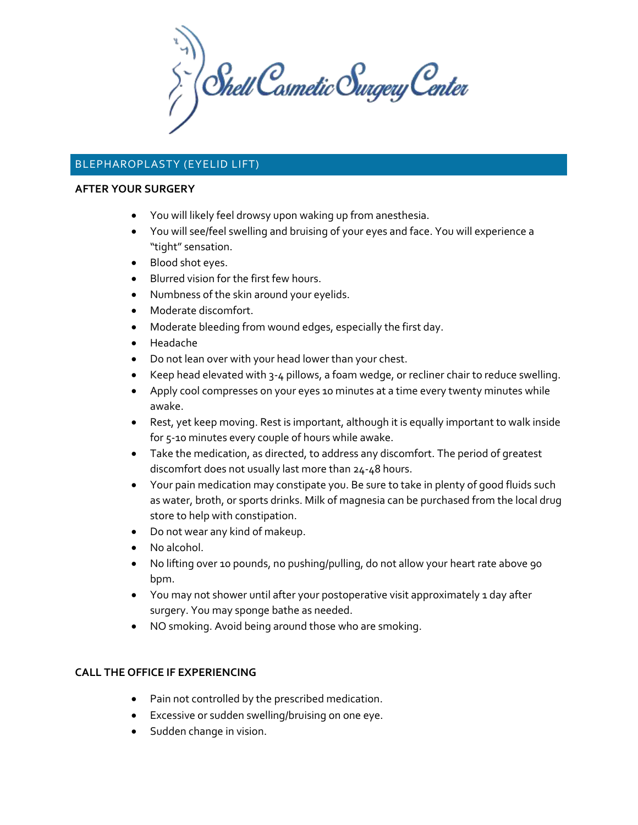$\left\langle \begin{array}{c} \searrow \ \searrow \end{array} \right\rangle$  Shell Cosmetic Surgery Center

# BLEPHAROPLASTY (EYELID LIFT)

#### **AFTER YOUR SURGERY**

- You will likely feel drowsy upon waking up from anesthesia.
- You will see/feel swelling and bruising of your eyes and face. You will experience a "tight" sensation.
- Blood shot eyes.
- Blurred vision for the first few hours.
- Numbness of the skin around your eyelids.
- Moderate discomfort.
- Moderate bleeding from wound edges, especially the first day.
- Headache
- Do not lean over with your head lower than your chest.
- Keep head elevated with 3-4 pillows, a foam wedge, or recliner chair to reduce swelling.
- Apply cool compresses on your eyes 10 minutes at a time every twenty minutes while awake.
- Rest, yet keep moving. Rest is important, although it is equally important to walk inside for 5-10 minutes every couple of hours while awake.
- Take the medication, as directed, to address any discomfort. The period of greatest discomfort does not usually last more than 24-48 hours.
- Your pain medication may constipate you. Be sure to take in plenty of good fluids such as water, broth, or sports drinks. Milk of magnesia can be purchased from the local drug store to help with constipation.
- Do not wear any kind of makeup.
- No alcohol.
- No lifting over 10 pounds, no pushing/pulling, do not allow your heart rate above 90 bpm.
- You may not shower until after your postoperative visit approximately 1 day after surgery. You may sponge bathe as needed.
- NO smoking. Avoid being around those who are smoking.

#### **CALL THE OFFICE IF EXPERIENCING**

- Pain not controlled by the prescribed medication.
- Excessive or sudden swelling/bruising on one eye.
- Sudden change in vision.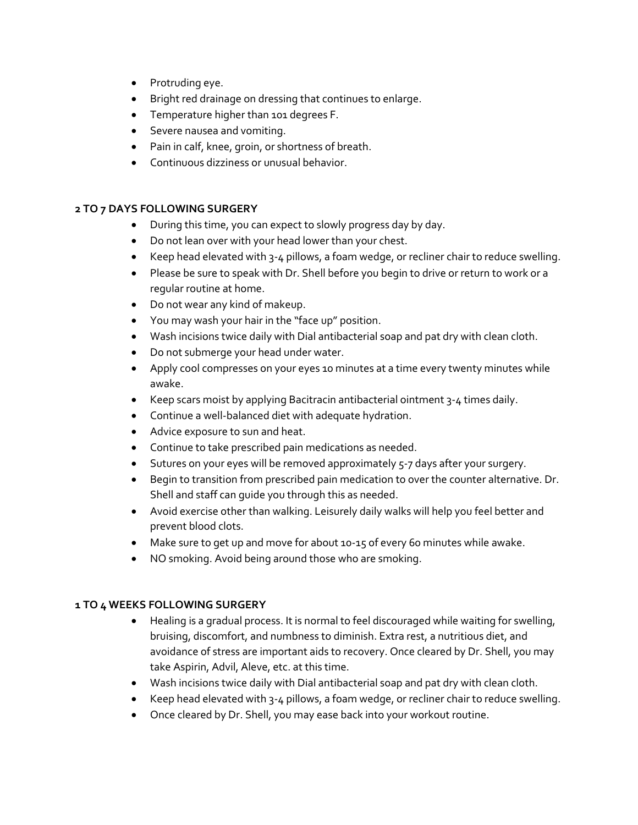- Protruding eye.
- Bright red drainage on dressing that continues to enlarge.
- Temperature higher than 101 degrees F.
- Severe nausea and vomiting.
- Pain in calf, knee, groin, or shortness of breath.
- Continuous dizziness or unusual behavior.

## **2 TO 7 DAYS FOLLOWING SURGERY**

- During this time, you can expect to slowly progress day by day.
- Do not lean over with your head lower than your chest.
- Keep head elevated with 3-4 pillows, a foam wedge, or recliner chair to reduce swelling.
- Please be sure to speak with Dr. Shell before you begin to drive or return to work or a regular routine at home.
- Do not wear any kind of makeup.
- You may wash your hair in the "face up" position.
- Wash incisions twice daily with Dial antibacterial soap and pat dry with clean cloth.
- Do not submerge your head under water.
- Apply cool compresses on your eyes 10 minutes at a time every twenty minutes while awake.
- Keep scars moist by applying Bacitracin antibacterial ointment 3-4 times daily.
- Continue a well-balanced diet with adequate hydration.
- Advice exposure to sun and heat.
- Continue to take prescribed pain medications as needed.
- Sutures on your eyes will be removed approximately 5-7 days after your surgery.
- Begin to transition from prescribed pain medication to over the counter alternative. Dr. Shell and staff can guide you through this as needed.
- Avoid exercise other than walking. Leisurely daily walks will help you feel better and prevent blood clots.
- Make sure to get up and move for about 10-15 of every 60 minutes while awake.
- NO smoking. Avoid being around those who are smoking.

#### **1 TO 4 WEEKS FOLLOWING SURGERY**

- Healing is a gradual process. It is normal to feel discouraged while waiting for swelling, bruising, discomfort, and numbness to diminish. Extra rest, a nutritious diet, and avoidance of stress are important aids to recovery. Once cleared by Dr. Shell, you may take Aspirin, Advil, Aleve, etc. at this time.
- Wash incisions twice daily with Dial antibacterial soap and pat dry with clean cloth.
- Keep head elevated with 3-4 pillows, a foam wedge, or recliner chair to reduce swelling.
- Once cleared by Dr. Shell, you may ease back into your workout routine.